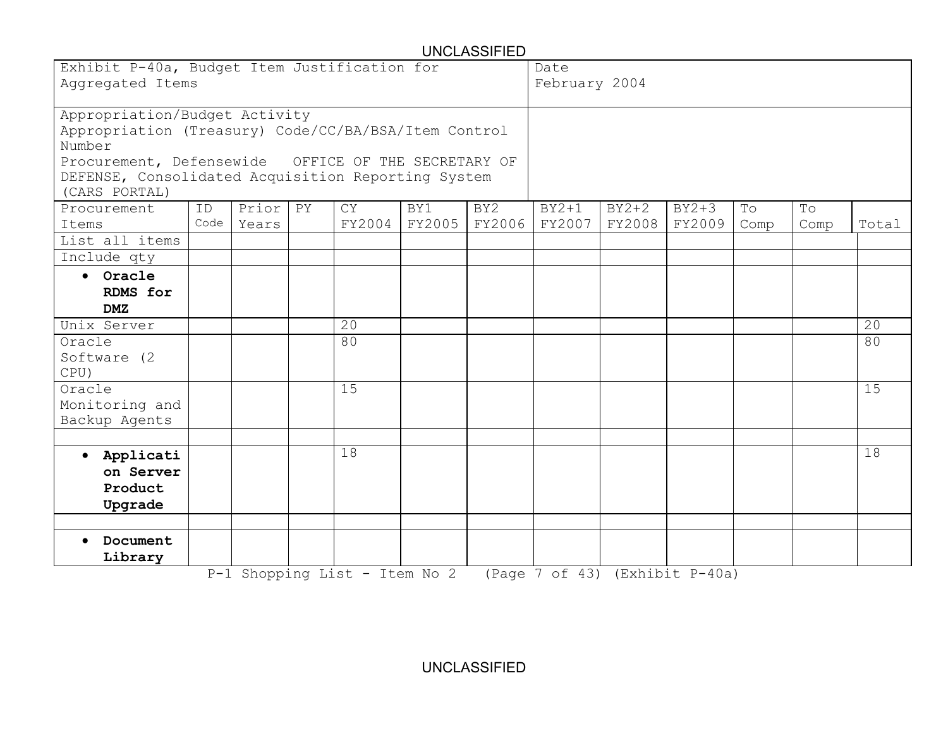| <b>UNCLASSIFIED</b>                                                                                                                                                                                                                                                                                         |      |       |  |                               |        |        |                                |               |         |      |      |       |  |  |
|-------------------------------------------------------------------------------------------------------------------------------------------------------------------------------------------------------------------------------------------------------------------------------------------------------------|------|-------|--|-------------------------------|--------|--------|--------------------------------|---------------|---------|------|------|-------|--|--|
| Exhibit P-40a, Budget Item Justification for                                                                                                                                                                                                                                                                |      |       |  |                               |        |        | Date                           |               |         |      |      |       |  |  |
| Aggregated Items                                                                                                                                                                                                                                                                                            |      |       |  |                               |        |        |                                | February 2004 |         |      |      |       |  |  |
| Appropriation/Budget Activity<br>Appropriation (Treasury) Code/CC/BA/BSA/Item Control<br>Number<br>Procurement, Defensewide<br>OFFICE OF THE SECRETARY OF<br>DEFENSE, Consolidated Acquisition Reporting System<br>(CARS PORTAL)<br>Prior<br>PY<br><b>CY</b><br>BY <sub>2</sub><br>ID<br>BY1<br>Procurement |      |       |  |                               |        |        |                                | $BY2+2$       | $BY2+3$ | To   | To   |       |  |  |
| Items                                                                                                                                                                                                                                                                                                       | Code | Years |  | FY2004                        | FY2005 | FY2006 | FY2007                         | FY2008        | FY2009  | Comp | Comp | Total |  |  |
| List all items                                                                                                                                                                                                                                                                                              |      |       |  |                               |        |        |                                |               |         |      |      |       |  |  |
| Include qty                                                                                                                                                                                                                                                                                                 |      |       |  |                               |        |        |                                |               |         |      |      |       |  |  |
| Oracle<br>$\bullet$<br>RDMS for<br>DMZ                                                                                                                                                                                                                                                                      |      |       |  |                               |        |        |                                |               |         |      |      |       |  |  |
| Unix Server                                                                                                                                                                                                                                                                                                 |      |       |  | 20                            |        |        |                                |               |         |      |      | 20    |  |  |
| Oracle<br>Software (2)<br>CPU)                                                                                                                                                                                                                                                                              |      |       |  | 80                            |        |        |                                |               |         |      |      | 80    |  |  |
| Oracle<br>Monitoring and<br>Backup Agents                                                                                                                                                                                                                                                                   |      |       |  | 15                            |        |        |                                |               |         |      |      | 15    |  |  |
| Applicati<br>$\bullet$<br>on Server<br>Product<br>Upgrade                                                                                                                                                                                                                                                   |      |       |  | $\overline{18}$               |        |        |                                |               |         |      |      | 18    |  |  |
| Document<br>Library                                                                                                                                                                                                                                                                                         |      |       |  | P-1 Shopping List - Item No 2 |        |        | (Page 7 of 43) (Exhibit P-40a) |               |         |      |      |       |  |  |